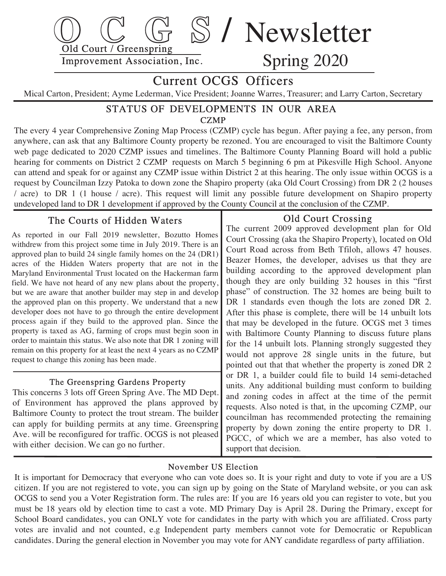

# Current OCGS Officers

Mical Carton, President; Ayme Lederman, Vice President; Joanne Warres, Treasurer; and Larry Carton, Secretary

#### **CZMP** STATUS OF DEVELOPMENTS IN OUR AREA

The every 4 year Comprehensive Zoning Map Process (CZMP) cycle has begun. After paying a fee, any person, from anywhere, can ask that any Baltimore County property be rezoned. You are encouraged to visit the Baltimore County web page dedicated to 2020 CZMP issues and timelines. The Baltimore County Planning Board will hold a public hearing for comments on District 2 CZMP requests on March 5 beginning 6 pm at Pikesville High School. Anyone can attend and speak for or against any CZMP issue within District 2 at this hearing. The only issue within OCGS is a request by Councilman Izzy Patoka to down zone the Shapiro property (aka Old Court Crossing) from DR 2 (2 houses / acre) to DR 1 (1 house / acre). This request will limit any possible future development on Shapiro property undeveloped land to DR 1 development if approved by the County Council at the conclusion of the CZMP .

# The Courts of Hidden Waters

 As reported in our Fall 2019 newsletter, Bozutto Homes withdrew from this project some time in July 2019. There is an approved plan to build 24 single family homes on the 24 (DR1) acres of the Hidden Waters property that are not in the Maryland Environmental Trust located on the Hackerman farm field. We have not heard of any new plans about the property, but we are aware that another builder may step in and develop the approved plan on this property. We understand that a new developer does not have to go through the entire development process again if they build to the approved plan. Since the property is taxed as AG, farming of crops must begin soon in order to maintain this status. We also note that DR 1 zoning will remain on this property for at least the next 4 years as no CZMP request to change this zoning has been made.

#### The Greenspring Gardens Property

 This concerns 3 lots off Green Spring Ave. The MD Dept. of Environment has approved the plans approved by Baltimore County to protect the trout stream. The builder can apply for building permits at any time. Greenspring Ave. will be reconfigured for traffic. OCGS is not pleased with either decision. We can go no further.

### Old Court Crossing

 The current 2009 approved development plan for Old Court Crossing (aka the Shapiro Property), located on Old Court Road across from Beth Tfiloh, allows 47 houses. Beazer Homes, the developer, advises us that they are building according to the approved development plan though they are only building 32 houses in this "first phase" of construction. The 32 homes are being built to DR 1 standards even though the lots are zoned DR 2. After this phase is complete, there will be 14 unbuilt lots that may be developed in the future. OCGS met 3 times with Baltimore County Planning to discuss future plans for the 14 unbuilt lots. Planning strongly suggested they would not approve 28 single units in the future, but pointed out that that whether the property is zoned DR 2 or DR 1, a builder could file to build 14 semi-detached units. Any additional building must conform to building and zoning codes in affect at the time of the permit requests. Also noted is that, in the upcoming CZMP, our councilman has recommended protecting the remaining property by down zoning the entire property to DR 1. PGCC, of which we are a member, has also voted to support that decision.

### November US Election

 It is important for Democracy that everyone who can vote does so. It is your right and duty to vote if you are a US citizen. If you are not registered to vote, you can sign up by going on the State of Maryland website, or you can ask OCGS to send you a Voter Registration form. The rules are: If you are 16 years old you can register to vote, but you must be 18 years old by election time to cast a vote. MD Primary Day is April 28. During the Primary , except for School Board candidates, you can ONLY vote for candidates in the party with which you are affiliated . Cross party votes are invalid and not counted, e.g Independent party members cannot vote for Democratic or Republican candidates. During the general election in November you may vote for ANY candidate regardless of party affiliation.